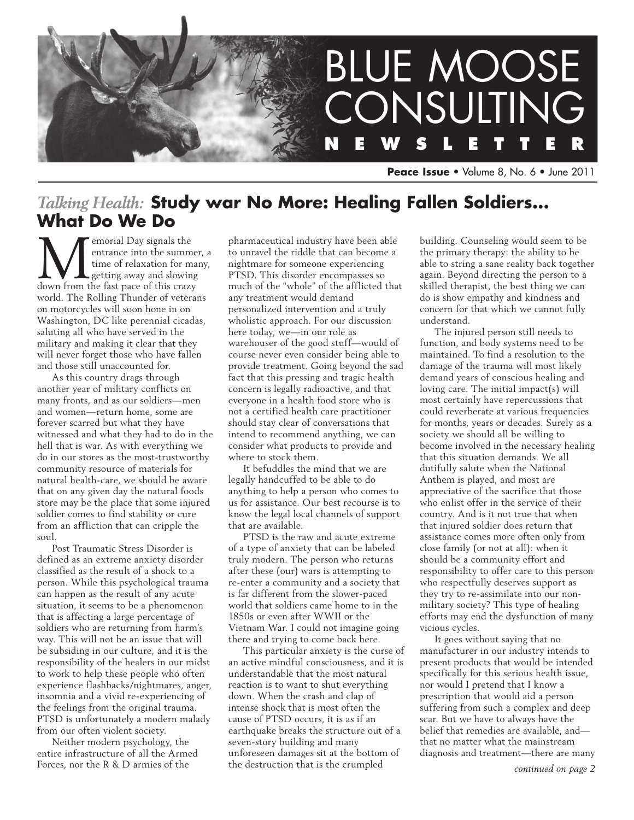

**Peace Issue** • Volume 8, No. 6 • June 2011

# *Talking Health:* **Study war No More: Healing Fallen Soldiers... What Do We Do**

**M**emorial Day signals the entrance into the summe time of relaxation for magneting away and slowing down from the fast pace of this crazy entrance into the summer, a time of relaxation for many, getting away and slowing world. The Rolling Thunder of veterans on motorcycles will soon hone in on Washington, DC like perennial cicadas, saluting all who have served in the military and making it clear that they will never forget those who have fallen and those still unaccounted for.

As this country drags through another year of military conflicts on many fronts, and as our soldiers—men and women—return home, some are forever scarred but what they have witnessed and what they had to do in the hell that is war. As with everything we do in our stores as the most-trustworthy community resource of materials for natural health-care, we should be aware that on any given day the natural foods store may be the place that some injured soldier comes to find stability or cure from an affliction that can cripple the soul.

Post Traumatic Stress Disorder is defined as an extreme anxiety disorder classified as the result of a shock to a person. While this psychological trauma can happen as the result of any acute situation, it seems to be a phenomenon that is affecting a large percentage of soldiers who are returning from harm's way. This will not be an issue that will be subsiding in our culture, and it is the responsibility of the healers in our midst to work to help these people who often experience flashbacks/nightmares, anger, insomnia and a vivid re-experiencing of the feelings from the original trauma. PTSD is unfortunately a modern malady from our often violent society.

Neither modern psychology, the entire infrastructure of all the Armed Forces, nor the R & D armies of the

pharmaceutical industry have been able to unravel the riddle that can become a nightmare for someone experiencing PTSD. This disorder encompasses so much of the "whole" of the afflicted that any treatment would demand personalized intervention and a truly wholistic approach. For our discussion here today, we—in our role as warehouser of the good stuff—would of course never even consider being able to provide treatment. Going beyond the sad fact that this pressing and tragic health concern is legally radioactive, and that everyone in a health food store who is not a certified health care practitioner should stay clear of conversations that intend to recommend anything, we can consider what products to provide and where to stock them.

It befuddles the mind that we are legally handcuffed to be able to do anything to help a person who comes to us for assistance. Our best recourse is to know the legal local channels of support that are available.

PTSD is the raw and acute extreme of a type of anxiety that can be labeled truly modern. The person who returns after these (our) wars is attempting to re-enter a community and a society that is far different from the slower-paced world that soldiers came home to in the 1850s or even after WWII or the Vietnam War. I could not imagine going there and trying to come back here.

This particular anxiety is the curse of an active mindful consciousness, and it is understandable that the most natural reaction is to want to shut everything down. When the crash and clap of intense shock that is most often the cause of PTSD occurs, it is as if an earthquake breaks the structure out of a seven-story building and many unforeseen damages sit at the bottom of the destruction that is the crumpled

building. Counseling would seem to be the primary therapy: the ability to be able to string a sane reality back together again. Beyond directing the person to a skilled therapist, the best thing we can do is show empathy and kindness and concern for that which we cannot fully understand.

The injured person still needs to function, and body systems need to be maintained. To find a resolution to the damage of the trauma will most likely demand years of conscious healing and loving care. The initial impact(s) will most certainly have repercussions that could reverberate at various frequencies for months, years or decades. Surely as a society we should all be willing to become involved in the necessary healing that this situation demands. We all dutifully salute when the National Anthem is played, and most are appreciative of the sacrifice that those who enlist offer in the service of their country. And is it not true that when that injured soldier does return that assistance comes more often only from close family (or not at all): when it should be a community effort and responsibility to offer care to this person who respectfully deserves support as they try to re-assimilate into our nonmilitary society? This type of healing efforts may end the dysfunction of many vicious cycles.

It goes without saying that no manufacturer in our industry intends to present products that would be intended specifically for this serious health issue, nor would I pretend that I know a prescription that would aid a person suffering from such a complex and deep scar. But we have to always have the belief that remedies are available, and that no matter what the mainstream diagnosis and treatment—there are many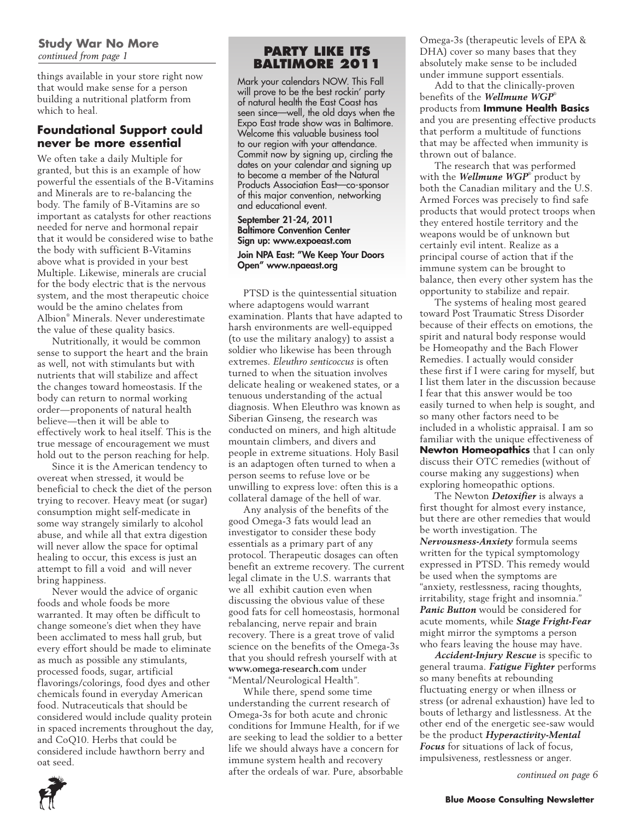#### **Study War No More** *continued from page 1*

things available in your store right now that would make sense for a person building a nutritional platform from which to heal.

### **Foundational Support could never be more essential**

We often take a daily Multiple for granted, but this is an example of how powerful the essentials of the B-Vitamins and Minerals are to re-balancing the body. The family of B-Vitamins are so important as catalysts for other reactions needed for nerve and hormonal repair that it would be considered wise to bathe the body with sufficient B-Vitamins above what is provided in your best Multiple. Likewise, minerals are crucial for the body electric that is the nervous system, and the most therapeutic choice would be the amino chelates from Albion® Minerals. Never underestimate the value of these quality basics.

Nutritionally, it would be common sense to support the heart and the brain as well, not with stimulants but with nutrients that will stabilize and affect the changes toward homeostasis. If the body can return to normal working order—proponents of natural health believe—then it will be able to effectively work to heal itself. This is the true message of encouragement we must hold out to the person reaching for help.

Since it is the American tendency to overeat when stressed, it would be beneficial to check the diet of the person trying to recover. Heavy meat (or sugar) consumption might self-medicate in some way strangely similarly to alcohol abuse, and while all that extra digestion will never allow the space for optimal healing to occur, this excess is just an attempt to fill a void and will never bring happiness.

Never would the advice of organic foods and whole foods be more warranted. It may often be difficult to change someone's diet when they have been acclimated to mess hall grub, but every effort should be made to eliminate as much as possible any stimulants, processed foods, sugar, artificial flavorings/colorings, food dyes and other chemicals found in everyday American food. Nutraceuticals that should be considered would include quality protein in spaced increments throughout the day, and CoQ10. Herbs that could be considered include hawthorn berry and oat seed.

# **Party like its Baltimore 2011**

Mark your calendars NOW. This Fall will prove to be the best rockin' party of natural health the East Coast has seen since—well, the old days when the Expo East trade show was in Baltimore. Welcome this valuable business tool to our region with your attendance. Commit now by signing up, circling the dates on your calendar and signing up to become a member of the Natural Products Association East—co-sponsor of this major convention, networking and educational event.

#### September 21-24, 2011 Baltimore Convention Center Sign up: www.expoeast.com Join NPA East: "We Keep Your Doors Open" www.npaeast.org

PTSD is the quintessential situation where adaptogens would warrant examination. Plants that have adapted to harsh environments are well-equipped (to use the military analogy) to assist a soldier who likewise has been through extremes. *Eleuthro senticoccus* is often turned to when the situation involves delicate healing or weakened states, or a tenuous understanding of the actual diagnosis. When Eleuthro was known as Siberian Ginseng, the research was conducted on miners, and high altitude mountain climbers, and divers and people in extreme situations. Holy Basil is an adaptogen often turned to when a person seems to refuse love or be unwilling to express love: often this is a collateral damage of the hell of war.

Any analysis of the benefits of the good Omega-3 fats would lead an investigator to consider these body essentials as a primary part of any protocol. Therapeutic dosages can often benefit an extreme recovery. The current legal climate in the U.S. warrants that we all exhibit caution even when discussing the obvious value of these good fats for cell homeostasis, hormonal rebalancing, nerve repair and brain recovery. There is a great trove of valid science on the benefits of the Omega-3s that you should refresh yourself with at **www.omega-research.com** under "Mental/Neurological Health".

While there, spend some time understanding the current research of Omega-3s for both acute and chronic conditions for Immune Health, for if we are seeking to lead the soldier to a better life we should always have a concern for immune system health and recovery after the ordeals of war. Pure, absorbable Omega-3s (therapeutic levels of EPA & DHA) cover so many bases that they absolutely make sense to be included under immune support essentials.

Add to that the clinically-proven benefits of the *Wellmune WGP*® products from **Immune Health Basics**  and you are presenting effective products that perform a multitude of functions that may be affected when immunity is thrown out of balance.

The research that was performed with the *Wellmune WGP*® product by both the Canadian military and the U.S. Armed Forces was precisely to find safe products that would protect troops when they entered hostile territory and the weapons would be of unknown but certainly evil intent. Realize as a principal course of action that if the immune system can be brought to balance, then every other system has the opportunity to stabilize and repair.

The systems of healing most geared toward Post Traumatic Stress Disorder because of their effects on emotions, the spirit and natural body response would be Homeopathy and the Bach Flower Remedies. I actually would consider these first if I were caring for myself, but I list them later in the discussion because I fear that this answer would be too easily turned to when help is sought, and so many other factors need to be included in a wholistic appraisal. I am so familiar with the unique effectiveness of **Newton Homeopathics** that I can only discuss their OTC remedies (without of course making any suggestions) when exploring homeopathic options.

The Newton *Detoxifier* is always a first thought for almost every instance, but there are other remedies that would be worth investigation. The *Nervousness-Anxiety* formula seems written for the typical symptomology expressed in PTSD. This remedy would be used when the symptoms are "anxiety, restlessness, racing thoughts, irritability, stage fright and insomnia." *Panic Button* would be considered for acute moments, while *Stage Fright-Fear*  might mirror the symptoms a person who fears leaving the house may have.

*Accident-Injury Rescue* is specific to general trauma. *Fatigue Fighter* performs so many benefits at rebounding fluctuating energy or when illness or stress (or adrenal exhaustion) have led to bouts of lethargy and listlessness. At the other end of the energetic see-saw would be the product *Hyperactivity-Mental Focus* for situations of lack of focus, impulsiveness, restlessness or anger.

*continued on page 6*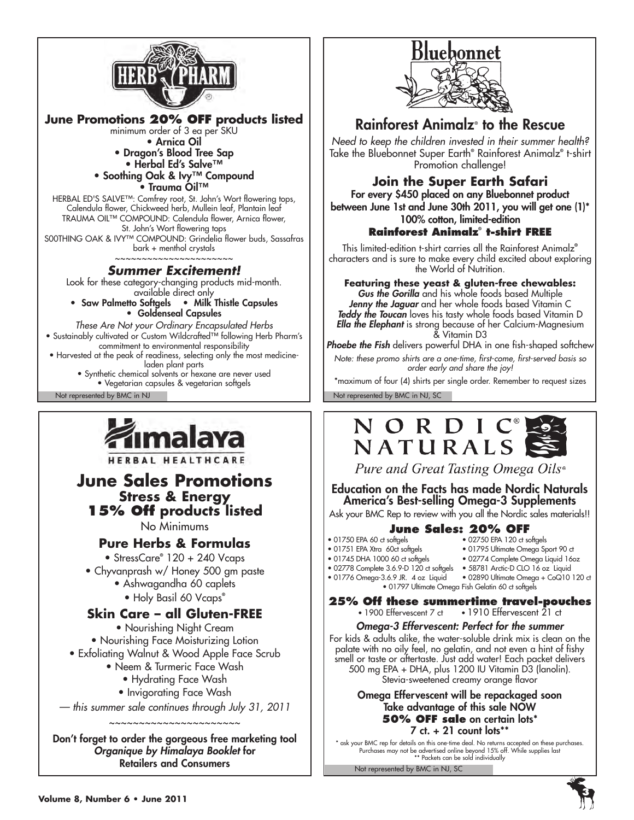

**June Promotions 20% OFF products listed** minimum order of 3 ea per SKU • Arnica Oil • Dragon's Blood Tree Sap • Herbal Ed's Salve™ • Soothing Oak & Ivy™ Compound • Trauma Oil™ HERBAL ED'S SALVE™: Comfrey root, St. John's Wort flowering tops,

Calendula flower, Chickweed herb, Mullein leaf, Plantain leaf TRAUMA OIL™ COMPOUND: Calendula flower, Arnica flower, St. John's Wort flowering tops S00THING OAK & IVY™ COMPOUND: Grindelia flower buds, Sassafras bark + menthol crystals

#### ~~~~~~~~~~~~~~~~~~~~ *Summer Excitement!*

Look for these category-changing products mid-month. available direct only

• Saw Palmetto Softgels • Milk Thistle Capsules • Goldenseal Capsules

*These Are Not your Ordinary Encapsulated Herbs* • Sustainably cultivated or Custom Wildcrafted™ following Herb Pharm's commitment to environmental responsibility • Harvested at the peak of readiness, selecting only the most medicineladen plant parts • Synthetic chemical solvents or hexane are never used • Vegetarian capsules & vegetarian softgels

Not represented by BMC in NJ Not represented by BMC in NJ, SC



HERBAL HEALTHCARE

# **June Sales Promotions Stress & Energy 15% Off products listed**

No Minimums

### **Pure Herbs & Formulas**

• StressCare**®** 120 + 240 Vcaps

- Chyvanprash w/ Honey 500 gm paste
	- Ashwagandha 60 caplets
	- Holy Basil 60 Vcaps**®**

### **Skin Care – all Gluten-FREE**

• Nourishing Night Cream • Nourishing Face Moisturizing Lotion • Exfoliating Walnut & Wood Apple Face Scrub

- Neem & Turmeric Face Wash
	- Hydrating Face Wash
	- Invigorating Face Wash
- *this summer sale continues through July 31, 2011*

~~~~~~~~~~~~~~~~~~~~

Don't forget to order the gorgeous free marketing tool *Organique by Himalaya Booklet* for Retailers and Consumers



# Rainforest Animalz® to the Rescue

*Need to keep the children invested in their summer health?* Take the Bluebonnet Super Earth**®** Rainforest Animalz**®** t-shirt Promotion challenge!

# **Join the Super Earth Safari**

For every \$450 placed on any Bluebonnet product between June 1st and June 30th 2011, you will get one (1)\* 100% cotton, limited-edition

# **Rainforest Animalz® t-shirt F**I

This limited-edition t-shirt carries all the Rainforest Animalz**®** characters and is sure to make every child excited about exploring the World of Nutrition.

**Featuring these yeast & gluten-free chewables:** *Gus the Gorilla* and his whole foods based Multiple *Jenny the Jaguar* and her whole foods based Vitamin C *Teddy the Toucan* loves his tasty whole foods based Vitamin D *Ella the Elephant* is strong because of her Calcium-Magnesium & Vitamin D3

*Phoebe the Fish* delivers powerful DHA in one fish-shaped softchew

*Note: these promo shirts are a one-time, first-come, first-served basis so order early and share the joy!*

\*maximum of four (4) shirts per single order. Remember to request sizes



Pure and Great Tasting Omega Oils®

Education on the Facts has made Nordic Naturals America's Best-selling Omega-3 Supplements

Ask your BMC Rep to review with you all the Nordic sales materials!!

# **June Sales: 20% OFF**<br>• 01750 EPA 60 ct softgels • 02750 EPA 120 ct so

- 
- 02750 EPA 120 ct softgels
- 01751 EPA Xtra 60ct softgels 01795 Ultimate Omega Sport 90 ct
	- 02774 Complete Omega Liquid 16oz
- 02778 Complete 3.6.9-D 120 ct softgels 58781 Arctic-D CLO 16 oz Liquid
- 01776 Omega-3.6.9 JR. 4 oz Liquid 02890 Ultimate Omega + CoQ10 120 ct
	-

• 01797 Ultimate Omega Fish Gelatin 60 ct softgels

**25% Off these summertime travel-pouches**<br>• 1900 Effervescent 7 ct • 1910 Effervescent 21 ct  $\cdot$  1910 Effervescent  $\bar{2}1$  ct

#### *Omega-3 Effervescent: Perfect for the summer*

For kids & adults alike, the water-soluble drink mix is clean on the palate with no oily feel, no gelatin, and not even a hint of fishy smell or taste or aftertaste. Just add water! Each packet delivers 500 mg EPA + DHA, plus 1200 IU Vitamin D3 (lanolin). Stevia-sweetened creamy orange flavor

#### Omega Effervescent will be repackaged soon Take advantage of this sale NOW **50% OFF sale** on certain lots\*  $7$  ct.  $+$  21 count lots\*\*

\* ask your BMC rep for details on this one-time deal. No returns accepted on these purchases.<br>Purchases may not be advertised online beyond 15% off. While supplies last<br>\*\* Packets can be sold individually

Not represented by BMC in NJ, SC

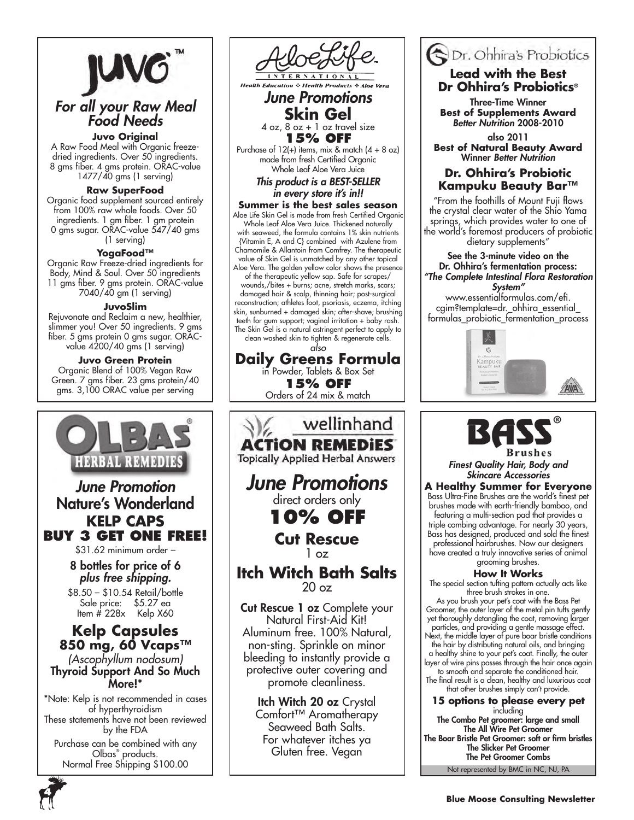

# *For all your Raw Meal Food Needs*

**Juvo Original**

A Raw Food Meal with Organic freezedried ingredients. Over 50 ingredients. 8 gms fiber. 4 gms protein. ORAC-value 1477/40 gms (1 serving)

#### **Raw SuperFood**

Organic food supplement sourced entirely from 100% raw whole foods. Over 50 ingredients. 1 gm fiber. 1 gm protein 0 gms sugar. ORAC-value 547/40 gms (1 serving)

#### **YogaFood™**

Organic Raw Freeze-dried ingredients for Body, Mind & Soul. Over 50 ingredients 11 gms fiber. 9 gms protein. ORAC-value 7040/40 gm (1 serving)

#### **JuvoSlim**

Rejuvonate and Reclaim a new, healthier, slimmer you! Over 50 ingredients. 9 gms fiber. 5 gms protein 0 gms sugar. ORACvalue 4200/40 gms (1 serving)

#### **Juvo Green Protein**

Organic Blend of 100% Vegan Raw Green. 7 gms fiber. 23 gms protein/40 gms. 3,100 ORAC value per serving



*June Promotions* **Skin Gel**  $4$  oz,  $8$  oz  $+1$  oz travel size

**15% OFF**

Purchase of  $12(+)$  items, mix & match  $(4 + 8$  oz) made from fresh Certified Organic Whole Leaf Aloe Vera Juice

> *This product is a BEST-SELLER in every store it's in!!*

**Summer is the best sales season** Aloe Life Skin Gel is made from fresh Certified Organic Whole Leaf Aloe Vera Juice. Thickened naturally with seaweed, the formula contains 1% skin nutrients {Vitamin E, A and C} combined with Azulene from Chamomile & Allantoin from Comfrey. The therapeutic value of Skin Gel is unmatched by any other topical Aloe Vera. The golden yellow color shows the presence

of the therapeutic yellow sap. Safe for scrapes/ wounds,/bites + burns; acne, stretch marks, scars; damaged hair & scalp, thinning hair; post-surgical reconstruction; athletes foot, psoriasis, eczema, itching skin, sunburned + damaged skin; after-shave; brushing teeth for gum support; vaginal irritation + baby rash. The Skin Gel is a natural astringent perfect to apply to

clean washed skin to tighten & regenerate cells. *also*

**Daily Greens Formula** in Powder, Tablets & Box Set **15% OFF** Orders of 24 mix & match



Seaweed Bath Salts. For whatever itches ya Gluten free. Vegan

# Dr. Ohhira's Probiotics **Lead with the Best**

**Dr Ohhira's Probiotics®** Three-Time Winner

**Best of Supplements Award** *Better Nutrition* 2008-2010

also 2011 **Best of Natural Beauty Award** Winner *Better Nutrition*

### **Dr. Ohhira's Probiotic Kampuku Beauty Bar™**

"From the foothills of Mount Fuji flows the crystal clear water of the Shio Yama springs, which provides water to one of the world's foremost producers of probiotic dietary supplements"

See the 3-minute video on the Dr. Ohhira's fermentation process: *"The Complete Intestinal Flora Restoration System"*

www.essentialformulas.com/efi. cgim?template=dr.\_ohhira\_essential\_ formulas\_probiotic\_fermentation\_process





*Finest Quality Hair, Body and Skincare Accessories*

**A Healthy Summer for Everyone** Bass Ultra-Fine Brushes are the world's finest pet brushes made with earth-friendly bamboo, and featuring a multi-section pad that provides a triple combing advantage. For nearly 30 years, Bass has designed, produced and sold the finest professional hairbrushes. Now our designers have created a truly innovative series of animal grooming brushes.

#### **How It Works**

The special section tufting pattern actually acts like three brush strokes in one.

As you brush your pet's coat with the Bass Pet Groomer, the outer layer of the metal pin tufts gently yet thoroughly detangling the coat, removing larger particles, and providing a gentle massage effect.

Next, the middle layer of pure boar bristle conditions the hair by distributing natural oils, and bringing a healthy shine to your pet's coat. Finally, the outer

layer of wire pins passes through the hair once again to smooth and separate the conditioned hair. The final result is a clean, healthy and luxurious coat

that other brushes simply can't provide.

#### **15 options to please every pet** including

Not represented by BMC in NC, NJ, PA The Combo Pet groomer: large and small The All Wire Pet Groomer The Boar Bristle Pet Groomer: soft or firm bristles The Slicker Pet Groomer The Pet Groomer Combs

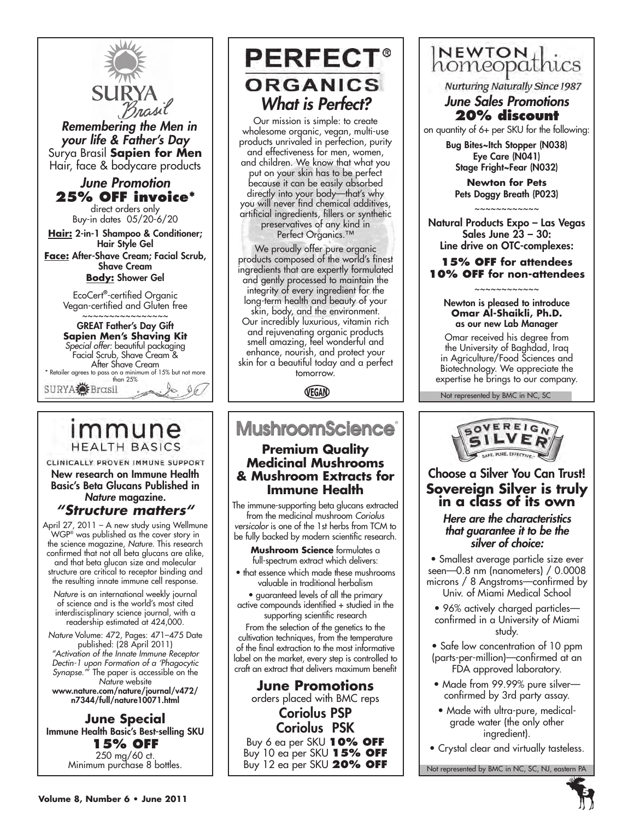

 *Remembering the Men in your life & Father's Day* Surya Brasil **Sapien for Men** Hair, face & bodycare products

# *June Promotion* **25% OFF invoice\***

direct orders only Buy-in dates 05/20-6/20

**Hair:** 2-in-1 Shampoo & Conditioner; Hair Style Gel **Face:** After-Shave Cream; Facial Scrub, Shave Cream

**Body:** Shower Gel

EcoCert**®** -certified Organic Vegan-certified and Gluten free

~~~~~~~~~~~~~~~~ GREAT Father's Day Gift **Sapien Men's Shaving Kit** *Special offer:* beautiful packaging Facial Scrub, Shave Cream & After Shave Cream \* Retailer agrees to pass on a minimum of 15% but not more than 25%  $96$ 

# immune **HEALTH BASICS**

CLINICALLY PROVEN IMMUNE SUPPORT New research on Immune Health Basic's Beta Glucans Published in *Nature* magazine.

*"Structure matters"* April 27, 2011 – A new study using Wellmune WGP® was published as the cover story in the science magazine, *Nature*. This research

confirmed that not all beta glucans are alike, and that beta glucan size and molecular structure are critical to receptor binding and the resulting innate immune cell response.

*Nature* is an international weekly journal of science and is the world's most cited interdiscisplinary science journal, with a readership estimated at 424,000.

*Nature* Volume: 472, Pages: 471–475 Date published: (28 April 2011) *"Activation of the Innate Immune Receptor Dectin-1 upon Formation of a 'Phagocytic Synapse.'*" The paper is accessible on the *Nature* website www.nature.com/nature/journal/v472/

n7344/full/nature10071.html

#### **June Special** Immune Health Basic's Best-selling SKU **15% OFF** 250 mg/60 ct. Minimum purchase 8 bottles.

# **PERFECT® ORGANICS** *What is Perfect?*

Our mission is simple: to create wholesome organic, vegan, multi-use products unrivaled in perfection, purity and effectiveness for men, women, and children. We know that what you put on your skin has to be perfect because it can be easily absorbed directly into your body—that's why you will never find chemical additives, artificial ingredients, fillers or synthetic preservatives of any kind in Perfect Organics.<sup>™</sup>

We proudly offer pure organic products composed of the world's finest ingredients that are expertly formulated and gently processed to maintain the integrity of every ingredient for the long-term health and beauty of your skin, body, and the environment. Our incredibly luxurious, vitamin rich and rejuvenating organic products smell amazing, feel wonderful and enhance, nourish, and protect your skin for a beautiful today and a perfect tomorrow.

VEGAN

# **MushroomScience®**

### **Premium Quality Medicinal Mushrooms & Mushroom Extracts for Immune Health**

The immune-supporting beta glucans extracted from the medicinal mushroom *Coriolus versicolor* is one of the 1st herbs from TCM to be fully backed by modern scientific research.

**Mushroom Science** formulates a full-spectrum extract which delivers:

• that essence which made these mushrooms valuable in traditional herbalism

• guaranteed levels of all the primary active compounds identified + studied in the supporting scientific research

From the selection of the genetics to the cultivation techniques, from the temperature of the final extraction to the most informative label on the market, every step is controlled to craft an extract that delivers maximum benefit

# **June Promotions** orders placed with BMC reps

Coriolus PSP Coriolus PSK Buy 6 ea per SKU **10% off** Buy 10 ea per SKU **15% off** Buy 12 ea per SKU **20% off**

# homeopathics

**Nurturing Naturally Since 1987** 

#### *June Sales Promotions* **20% discount**

on quantity of 6+ per SKU for the following:

Bug Bites~Itch Stopper (N038) Eye Care (N041) Stage Fright~Fear (N032)

**Newton for Pets** Pets Doggy Breath (P023) ~~~~~~~~~~~~

Natural Products Expo – Las Vegas Sales June 23 – 30: Line drive on OTC-complexes:

#### **15% off for attendees 10% off for non-attendees**

#### ~~~~~~~~~~~~ Newton is pleased to introduce **Omar Al-Shaikli, Ph.D.** as our new Lab Manager

Omar received his degree from the University of Baghdad, Iraq in Agriculture/Food Sciences and Biotechnology. We appreciate the expertise he brings to our company.

Not represented by BMC in NC, SC



# Choose a Silver You Can Trust! **Sovereign Silver is truly in a class of its own**

#### *Here are the characteristics that guarantee it to be the silver of choice:*

• Smallest average particle size ever seen—0.8 nm (nanometers) / 0.0008 microns / 8 Angstroms—confirmed by Univ. of Miami Medical School

• 96% actively charged particles confirmed in a University of Miami study.

• Safe low concentration of 10 ppm (parts-per-million)—confirmed at an FDA approved laboratory.

- Made from 99.99% pure silver confirmed by 3rd party assay.
- Made with ultra-pure, medicalgrade water (the only other ingredient).
- Crystal clear and virtually tasteless.

Not represented by BMC in NC, SC, NJ, eastern PA

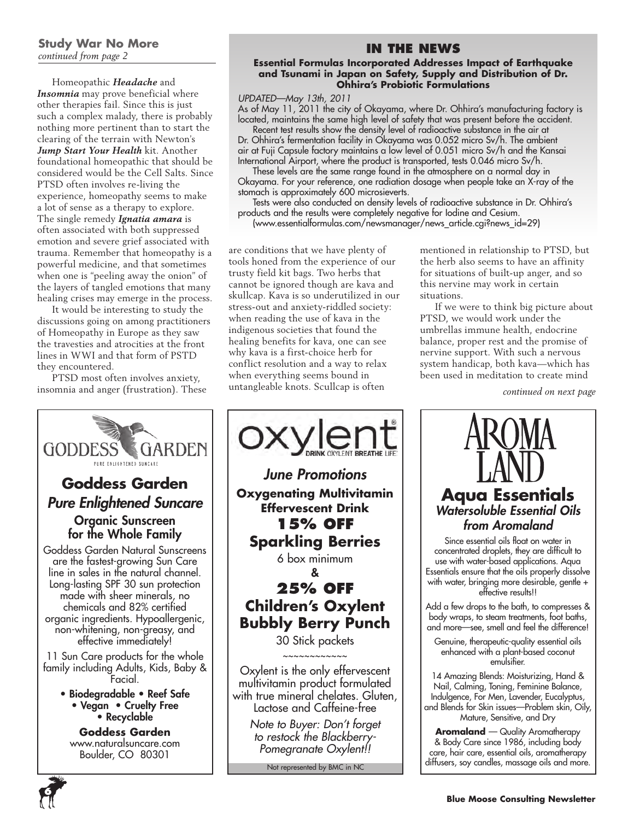#### **Study War No More** *continued from page 2*

Homeopathic *Headache* and *Insomnia* may prove beneficial where other therapies fail. Since this is just such a complex malady, there is probably nothing more pertinent than to start the clearing of the terrain with Newton's *Jump Start Your Health* kit. Another foundational homeopathic that should be considered would be the Cell Salts. Since PTSD often involves re-living the experience, homeopathy seems to make a lot of sense as a therapy to explore. The single remedy *Ignatia amara* is often associated with both suppressed emotion and severe grief associated with trauma. Remember that homeopathy is a powerful medicine, and that sometimes when one is "peeling away the onion" of the layers of tangled emotions that many healing crises may emerge in the process.

It would be interesting to study the discussions going on among practitioners of Homeopathy in Europe as they saw the travesties and atrocities at the front lines in WWI and that form of PSTD they encountered.

PTSD most often involves anxiety, insomnia and anger (frustration). These

# **In the News**

#### **Essential Formulas Incorporated Addresses Impact of Earthquake and Tsunami in Japan on Safety, Supply and Distribution of Dr. Ohhira's Probiotic Formulations**

*UPDATED—May 13th, 2011*

As of May 11, 2011 the city of Okayama, where Dr. Ohhira's manufacturing factory is located, maintains the same high level of safety that was present before the accident.

Recent test results show the density level of radioactive substance in the air at Dr. Ohhira's fermentation facility in Okayama was 0.052 micro Sv/h. The ambient air at Fuji Capsule factory maintains a low level of 0.051 micro Sv/h and the Kansai International Airport, where the product is transported, tests 0.046 micro Sv/h.

These levels are the same range found in the atmosphere on a normal day in Okayama. For your reference, one radiation dosage when people take an X-ray of the stomach is approximately 600 microsieverts.

Tests were also conducted on density levels of radioactive substance in Dr. Ohhira's products and the results were completely negative for Iodine and Cesium.

(www.essentialformulas.com/newsmanager/news\_article.cgi?news\_id=29)

are conditions that we have plenty of tools honed from the experience of our trusty field kit bags. Two herbs that cannot be ignored though are kava and skullcap. Kava is so underutilized in our stress-out and anxiety-riddled society: when reading the use of kava in the indigenous societies that found the healing benefits for kava, one can see why kava is a first-choice herb for conflict resolution and a way to relax when everything seems bound in untangleable knots. Scullcap is often

mentioned in relationship to PTSD, but the herb also seems to have an affinity for situations of built-up anger, and so this nervine may work in certain situations.

If we were to think big picture about PTSD, we would work under the umbrellas immune health, endocrine balance, proper rest and the promise of nervine support. With such a nervous system handicap, both kava—which has been used in meditation to create mind

*continued on next page*



**6**

# *June Promotions* **Oxygenating Multivitamin Effervescent Drink 15% OFF Sparkling Berries** 6 box minimum & **25% OFF**

**Children's Oxylent Bubbly Berry Punch**

30 Stick packets ~~~~~~~~~~~~

Oxylent is the only effervescent multivitamin product formulated with true mineral chelates. Gluten, Lactose and Caffeine-free

> *Note to Buyer: Don't forget to restock the Blackberry-Pomegranate Oxylent!!*

> > Not represented by BMC in NC

**Aqua Essentials** *Watersoluble Essential Oils from Aromaland*

Since essential oils float on water in concentrated droplets, they are difficult to use with water-based applications. Aqua Essentials ensure that the oils properly dissolve with water, bringing more desirable, gentle + effective results!!

Add a few drops to the bath, to compresses & body wraps, to steam treatments, foot baths, and more—see, smell and feel the difference!

Genuine, therapeutic-quality essential oils enhanced with a plant-based coconut emulsifier.

14 Amazing Blends: Moisturizing, Hand & Nail, Calming, Toning, Feminine Balance, Indulgence, For Men, Lavender, Eucalyptus, and Blends for Skin issues—Problem skin, Oily, Mature, Sensitive, and Dry

**Aromaland** — Quality Aromatherapy & Body Care since 1986, including body care, hair care, essential oils, aromatherapy diffusers, soy candles, massage oils and more.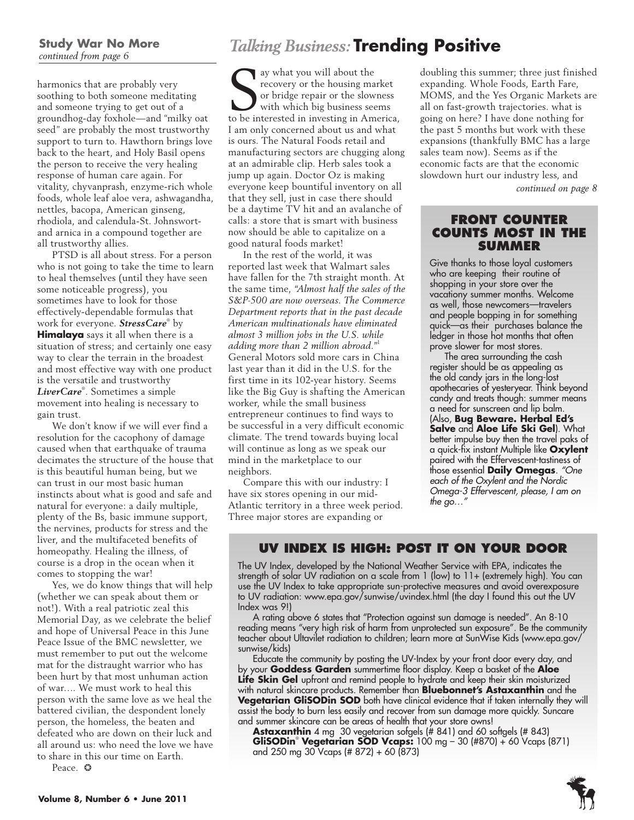#### **Study War No More** *continued from page 6*

harmonics that are probably very soothing to both someone meditating and someone trying to get out of a groundhog-day foxhole—and "milky oat seed" are probably the most trustworthy support to turn to. Hawthorn brings love back to the heart, and Holy Basil opens the person to receive the very healing response of human care again. For vitality, chyvanprash, enzyme-rich whole foods, whole leaf aloe vera, ashwagandha, nettles, bacopa, American ginseng, rhodiola, and calendula-St. Johnswortand arnica in a compound together are all trustworthy allies.

PTSD is all about stress. For a person who is not going to take the time to learn to heal themselves (until they have seen some noticeable progress), you sometimes have to look for those effectively-dependable formulas that work for everyone. *StressCare*® by **Himalaya** says it all when there is a situation of stress; and certainly one easy way to clear the terrain in the broadest and most effective way with one product is the versatile and trustworthy *LiverCare*® . Sometimes a simple movement into healing is necessary to gain trust.

We don't know if we will ever find a resolution for the cacophony of damage caused when that earthquake of trauma decimates the structure of the house that is this beautiful human being, but we can trust in our most basic human instincts about what is good and safe and natural for everyone: a daily multiple, plenty of the Bs, basic immune support, the nervines, products for stress and the liver, and the multifaceted benefits of homeopathy. Healing the illness, of course is a drop in the ocean when it comes to stopping the war!

Yes, we do know things that will help (whether we can speak about them or not!). With a real patriotic zeal this Memorial Day, as we celebrate the belief and hope of Universal Peace in this June Peace Issue of the BMC newsletter, we must remember to put out the welcome mat for the distraught warrior who has been hurt by that most unhuman action of war…. We must work to heal this person with the same love as we heal the battered civilian, the despondent lonely person, the homeless, the beaten and defeated who are down on their luck and all around us: who need the love we have to share in this our time on Earth.

Peace. ❂

# *Talking Business:* **Trending Positive**

Subsetted in investing market or bridge repair or the slowness with which big business seems to be interested in investing in America, ay what you will about the recovery or the housing market or bridge repair or the slowness with which big business seems I am only concerned about us and what is ours. The Natural Foods retail and manufacturing sectors are chugging along at an admirable clip. Herb sales took a jump up again. Doctor Oz is making everyone keep bountiful inventory on all that they sell, just in case there should be a daytime TV hit and an avalanche of calls: a store that is smart with business now should be able to capitalize on a good natural foods market!

In the rest of the world, it was reported last week that Walmart sales have fallen for the 7th straight month. At the same time, *"Almost half the sales of the S&P-500 are now overseas. The Commerce Department reports that in the past decade American multinationals have eliminated almost 3 million jobs in the U.S. while adding more than 2 million abroad."*<sup>1</sup> General Motors sold more cars in China last year than it did in the U.S. for the first time in its 102-year history. Seems like the Big Guy is shafting the American worker, while the small business entrepreneur continues to find ways to be successful in a very difficult economic climate. The trend towards buying local will continue as long as we speak our mind in the marketplace to our neighbors.

Compare this with our industry: I have six stores opening in our mid-Atlantic territory in a three week period. Three major stores are expanding or

doubling this summer; three just finished expanding. Whole Foods, Earth Fare, MOMS, and the Yes Organic Markets are all on fast-growth trajectories. what is going on here? I have done nothing for the past 5 months but work with these expansions (thankfully BMC has a large sales team now). Seems as if the economic facts are that the economic slowdown hurt our industry less, and

*continued on page 8*

#### **Front Counter counts most in the summer**

Give thanks to those loyal customers who are keeping their routine of shopping in your store over the vacationy summer months. Welcome as well, those newcomers—travelers and people bopping in for something quick—as their purchases balance the ledger in those hot months that often prove slower for most stores.

The area surrounding the cash register should be as appealing as the old candy jars in the long-lost apothecaries of yesteryear. Think beyond candy and treats though: summer means a need for sunscreen and lip balm. (Also, **Bug Beware. Herbal Ed's Salve** and **Aloe Life Ski Gel**). What better impulse buy then the travel paks of a quick-fix instant Multiple like **Oxylent** paired with the Effervescent-tastiness of those essential **Daily Omegas**. *"One each of the Oxylent and the Nordic Omega-3 Effervescent, please, I am on the go…"*

# **UV Index is high: post it on your door**

The UV Index, developed by the National Weather Service with EPA, indicates the strength of solar UV radiation on a scale from 1 (low) to 11+ (extremely high). You can use the UV Index to take appropriate sun-protective measures and avoid overexposure to UV radiation: www.epa.gov/sunwise/uvindex.html (the day I found this out the UV Index was 9!)

A rating above 6 states that "Protection against sun damage is needed". An 8-10 reading means "very high risk of harm from unprotected sun exposure". Be the community teacher about Ultavilet radiation to children; learn more at SunWise Kids (www.epa.gov/ sunwise/kids)

Educate the community by posting the UV-Index by your front door every day, and by your **Goddess Garden** summertime floor display. Keep a basket of the **Aloe Life Skin Gel** upfront and remind people to hydrate and keep their skin moisturized with natural skincare products. Remember than **Bluebonnet's Astaxanthin** and the **Vegetarian GliSODin SOD** both have clinical evidence that if taken internally they will assist the body to burn less easily and recover from sun damage more quickly. Suncare and summer skincare can be areas of health that your store owns!

**Astaxanthin** 4 mg 30 vegetarian sofgels (# 841) and 60 softgels (# 843) **GliSODin**® **Vegetarian SOD Vcaps:** 100 mg – 30 (#870) + 60 Vcaps (871) and 250 mg 30 Vcaps (# 872) + 60 (873)